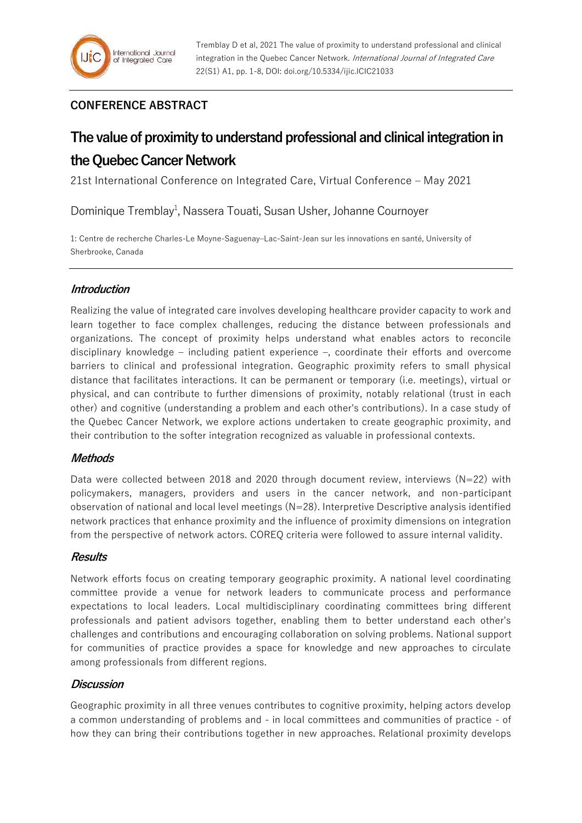# **CONFERENCE ABSTRACT**

# **The value of proximity to understand professional and clinical integration in the Quebec Cancer Network**

21st International Conference on Integrated Care, Virtual Conference – May 2021

Dominique Tremblay<sup>1</sup>, Nassera Touati, Susan Usher, Johanne Cournoyer

1: Centre de recherche Charles-Le Moyne-Saguenay–Lac-Saint-Jean sur les innovations en santé, University of Sherbrooke, Canada

## **Introduction**

Realizing the value of integrated care involves developing healthcare provider capacity to work and learn together to face complex challenges, reducing the distance between professionals and organizations. The concept of proximity helps understand what enables actors to reconcile disciplinary knowledge – including patient experience –, coordinate their efforts and overcome barriers to clinical and professional integration. Geographic proximity refers to small physical distance that facilitates interactions. It can be permanent or temporary (i.e. meetings), virtual or physical, and can contribute to further dimensions of proximity, notably relational (trust in each other) and cognitive (understanding a problem and each other's contributions). In a case study of the Quebec Cancer Network, we explore actions undertaken to create geographic proximity, and their contribution to the softer integration recognized as valuable in professional contexts.

## **Methods**

Data were collected between 2018 and 2020 through document review, interviews  $(N=22)$  with policymakers, managers, providers and users in the cancer network, and non-participant observation of national and local level meetings (N=28). Interpretive Descriptive analysis identified network practices that enhance proximity and the influence of proximity dimensions on integration from the perspective of network actors. COREQ criteria were followed to assure internal validity.

## **Results**

Network efforts focus on creating temporary geographic proximity. A national level coordinating committee provide a venue for network leaders to communicate process and performance expectations to local leaders. Local multidisciplinary coordinating committees bring different professionals and patient advisors together, enabling them to better understand each other's challenges and contributions and encouraging collaboration on solving problems. National support for communities of practice provides a space for knowledge and new approaches to circulate among professionals from different regions.

## **Discussion**

Geographic proximity in all three venues contributes to cognitive proximity, helping actors develop a common understanding of problems and - in local committees and communities of practice - of how they can bring their contributions together in new approaches. Relational proximity develops